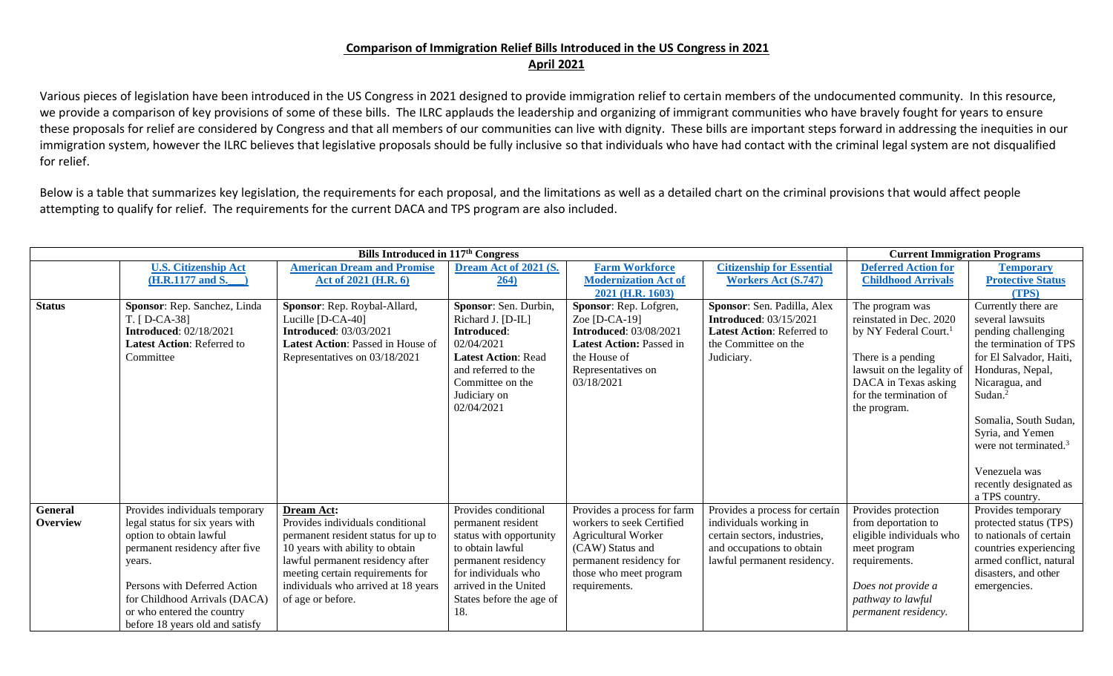## **Comparison of Immigration Relief Bills Introduced in the US Congress in 2021 April 2021**

Various pieces of legislation have been introduced in the US Congress in 2021 designed to provide immigration relief to certain members of the undocumented community. In this resource, we provide a comparison of key provisions of some of these bills. The ILRC applauds the leadership and organizing of immigrant communities who have bravely fought for years to ensure these proposals for relief are considered by Congress and that all members of our communities can live with dignity. These bills are important steps forward in addressing the inequities in our immigration system, however the ILRC believes that legislative proposals should be fully inclusive so that individuals who have had contact with the criminal legal system are not disqualified for relief.

Below is a table that summarizes key legislation, the requirements for each proposal, and the limitations as well as a detailed chart on the criminal provisions that would affect people attempting to qualify for relief. The requirements for the current DACA and TPS program are also included.

| Bills Introduced in 117 <sup>th</sup> Congress |                                   |                                          |                            |                                 |                                  | <b>Current Immigration Programs</b> |                          |
|------------------------------------------------|-----------------------------------|------------------------------------------|----------------------------|---------------------------------|----------------------------------|-------------------------------------|--------------------------|
|                                                | <b>U.S. Citizenship Act</b>       | <b>American Dream and Promise</b>        | Dream Act of 2021 (S.      | <b>Farm Workforce</b>           | <b>Citizenship for Essential</b> | <b>Deferred Action for</b>          | <b>Temporary</b>         |
|                                                | (H.R.1177 and S.                  | Act of 2021 (H.R. 6)                     | 264)                       | <b>Modernization Act of</b>     | <b>Workers Act (S.747)</b>       | <b>Childhood Arrivals</b>           | <b>Protective Status</b> |
|                                                |                                   |                                          |                            | 2021 (H.R. 1603)                |                                  |                                     | (TPS)                    |
| <b>Status</b>                                  | Sponsor: Rep. Sanchez, Linda      | Sponsor: Rep. Roybal-Allard,             | Sponsor: Sen. Durbin,      | Sponsor: Rep. Lofgren,          | Sponsor: Sen. Padilla, Alex      | The program was                     | Currently there are      |
|                                                | T. [D-CA-38]                      | Lucille [D-CA-40]                        | Richard J. [D-IL]          | Zoe $[D-CA-19]$                 | <b>Introduced: 03/15/2021</b>    | reinstated in Dec. 2020             | several lawsuits         |
|                                                | <b>Introduced: 02/18/2021</b>     | <b>Introduced: 03/03/2021</b>            | Introduced:                | <b>Introduced: 03/08/2021</b>   | Latest Action: Referred to       | by NY Federal Court. <sup>1</sup>   | pending challenging      |
|                                                | <b>Latest Action: Referred to</b> | <b>Latest Action: Passed in House of</b> | 02/04/2021                 | <b>Latest Action: Passed in</b> | the Committee on the             |                                     | the termination of TPS   |
|                                                | Committee                         | Representatives on 03/18/2021            | <b>Latest Action: Read</b> | the House of                    | Judiciary.                       | There is a pending                  | for El Salvador, Haiti,  |
|                                                |                                   |                                          | and referred to the        | Representatives on              |                                  | lawsuit on the legality of          | Honduras, Nepal,         |
|                                                |                                   |                                          | Committee on the           | 03/18/2021                      |                                  | DACA in Texas asking                | Nicaragua, and           |
|                                                |                                   |                                          | Judiciary on               |                                 |                                  | for the termination of              | Sudan. $^{2}$            |
|                                                |                                   |                                          | 02/04/2021                 |                                 |                                  | the program.                        |                          |
|                                                |                                   |                                          |                            |                                 |                                  |                                     | Somalia, South Sudan,    |
|                                                |                                   |                                          |                            |                                 |                                  |                                     | Syria, and Yemen         |
|                                                |                                   |                                          |                            |                                 |                                  |                                     | were not terminated. $3$ |
|                                                |                                   |                                          |                            |                                 |                                  |                                     | Venezuela was            |
|                                                |                                   |                                          |                            |                                 |                                  |                                     | recently designated as   |
|                                                |                                   |                                          |                            |                                 |                                  |                                     | a TPS country.           |
| <b>General</b>                                 | Provides individuals temporary    | <b>Dream Act:</b>                        | Provides conditional       | Provides a process for farm     | Provides a process for certain   | Provides protection                 | Provides temporary       |
| <b>Overview</b>                                | legal status for six years with   | Provides individuals conditional         | permanent resident         | workers to seek Certified       | individuals working in           | from deportation to                 | protected status (TPS)   |
|                                                | option to obtain lawful           | permanent resident status for up to      | status with opportunity    | Agricultural Worker             | certain sectors, industries,     | eligible individuals who            | to nationals of certain  |
|                                                | permanent residency after five    | 10 years with ability to obtain          | to obtain lawful           | (CAW) Status and                | and occupations to obtain        | meet program                        | countries experiencing   |
|                                                | years.                            | lawful permanent residency after         | permanent residency        | permanent residency for         | lawful permanent residency.      | requirements.                       | armed conflict, natural  |
|                                                |                                   | meeting certain requirements for         | for individuals who        | those who meet program          |                                  |                                     | disasters, and other     |
|                                                | Persons with Deferred Action      | individuals who arrived at 18 years      | arrived in the United      | requirements.                   |                                  | Does not provide a                  | emergencies.             |
|                                                | for Childhood Arrivals (DACA)     | of age or before.                        | States before the age of   |                                 |                                  | pathway to lawful                   |                          |
|                                                | or who entered the country        |                                          | 18.                        |                                 |                                  | permanent residency.                |                          |
|                                                | before 18 years old and satisfy   |                                          |                            |                                 |                                  |                                     |                          |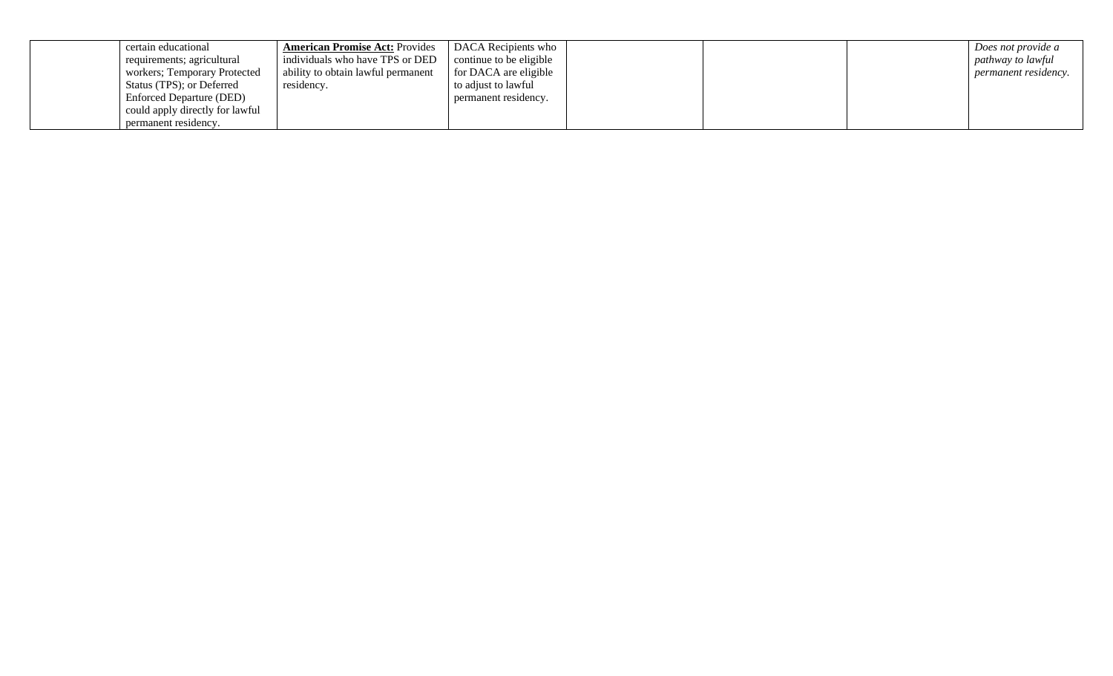| certain educational             | <b>American Promise Act: Provides</b> | DACA Recipients who     |  | Does not provide a          |
|---------------------------------|---------------------------------------|-------------------------|--|-----------------------------|
| requirements; agricultural      | individuals who have TPS or DED       | continue to be eligible |  | pathway to lawful           |
| workers; Temporary Protected    | ability to obtain lawful permanent    | for DACA are eligible   |  | <i>permanent residency.</i> |
| Status (TPS); or Deferred       | residency.                            | to adjust to lawful     |  |                             |
| Enforced Departure (DED)        |                                       | permanent residency.    |  |                             |
| could apply directly for lawful |                                       |                         |  |                             |
| permanent residency.            |                                       |                         |  |                             |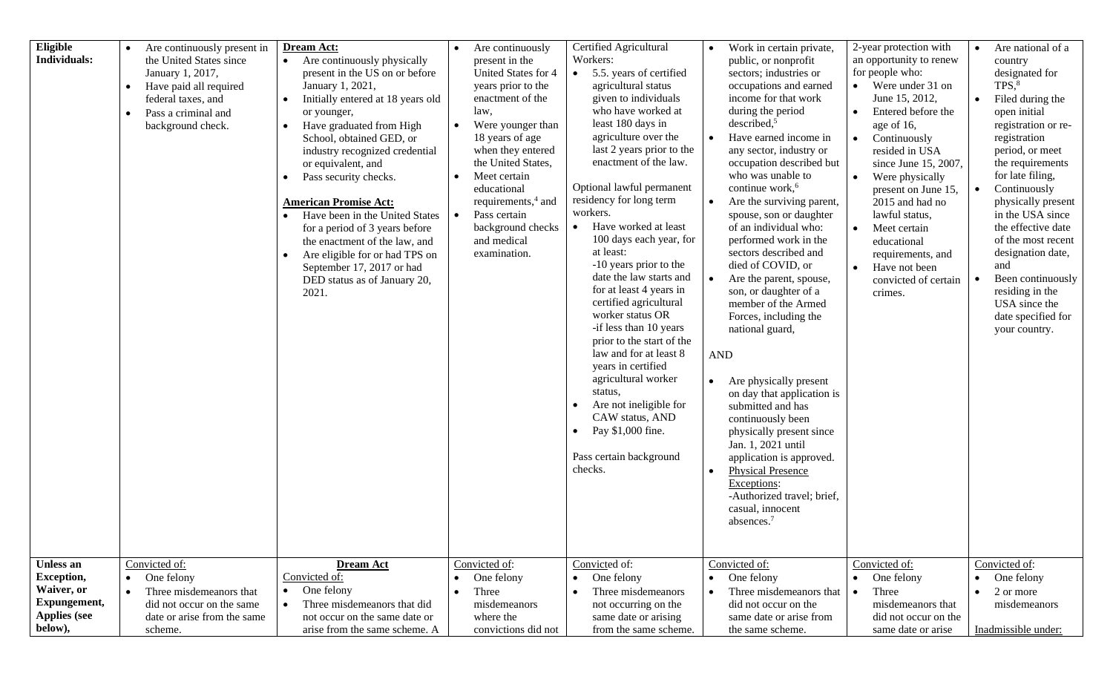| Eligible<br><b>Individuals:</b>                                                                | Are continuously present in<br>the United States since<br>January 1, 2017,<br>Have paid all required<br>$\bullet$<br>federal taxes, and<br>Pass a criminal and<br>$\bullet$<br>background check. | Dream Act:<br>$\bullet$<br>Are continuously physically<br>present in the US on or before<br>January 1, 2021,<br>Initially entered at 18 years old<br>$\bullet$<br>or younger,<br>Have graduated from High<br>$\bullet$<br>School, obtained GED, or<br>industry recognized credential<br>or equivalent, and<br>Pass security checks.<br><b>American Promise Act:</b><br>Have been in the United States<br>for a period of 3 years before<br>the enactment of the law, and<br>Are eligible for or had TPS on<br>$\bullet$<br>September 17, 2017 or had<br>DED status as of January 20,<br>2021. | Are continuously<br>present in the<br>United States for 4<br>years prior to the<br>enactment of the<br>law.<br>Were younger than<br>$\bullet$<br>18 years of age<br>when they entered<br>the United States,<br>Meet certain<br>$\bullet$<br>educational<br>requirements, <sup>4</sup> and<br>Pass certain<br>background checks<br>and medical<br>examination. | Certified Agricultural<br>Workers:<br>5.5. years of certified<br>agricultural status<br>given to individuals<br>who have worked at<br>least 180 days in<br>agriculture over the<br>last 2 years prior to the<br>enactment of the law.<br>Optional lawful permanent<br>residency for long term<br>workers.<br>Have worked at least<br>$\bullet$<br>100 days each year, for<br>at least:<br>-10 years prior to the<br>date the law starts and<br>for at least 4 years in<br>certified agricultural<br>worker status OR<br>-if less than 10 years<br>prior to the start of the<br>law and for at least 8<br>years in certified<br>agricultural worker<br>status,<br>Are not ineligible for<br>CAW status, AND<br>Pay \$1,000 fine.<br>$\bullet$<br>Pass certain background<br>checks. | Work in certain private,<br>public, or nonprofit<br>sectors; industries or<br>occupations and earned<br>income for that work<br>during the period<br>described, <sup>5</sup><br>Have earned income in<br>any sector, industry or<br>occupation described but<br>who was unable to<br>continue work, <sup>6</sup><br>Are the surviving parent,<br>$\bullet$<br>spouse, son or daughter<br>of an individual who:<br>performed work in the<br>sectors described and<br>died of COVID, or<br>$\bullet$<br>Are the parent, spouse,<br>son, or daughter of a<br>member of the Armed<br>Forces, including the<br>national guard,<br><b>AND</b><br>Are physically present<br>$\bullet$<br>on day that application is<br>submitted and has<br>continuously been<br>physically present since<br>Jan. 1, 2021 until<br>application is approved.<br><b>Physical Presence</b><br>$\bullet$<br>Exceptions:<br>-Authorized travel; brief,<br>casual, innocent<br>absences. <sup>7</sup> | 2-year protection with<br>an opportunity to renew<br>for people who:<br>$\bullet$ Were under 31 on<br>June 15, 2012,<br>Entered before the<br>$\bullet$<br>age of 16,<br>$\bullet$<br>Continuously<br>resided in USA<br>since June 15, 2007,<br>$\bullet$<br>Were physically<br>present on June 15,<br>2015 and had no<br>lawful status,<br>$\bullet$<br>Meet certain<br>educational<br>requirements, and<br>$\bullet$<br>Have not been<br>convicted of certain<br>crimes. | Are national of a<br>$\bullet$<br>country<br>designated for<br>TPS <sub>18</sub><br>Filed during the<br>$\bullet$<br>open initial<br>registration or re-<br>registration<br>period, or meet<br>the requirements<br>for late filing,<br>Continuously<br>$\bullet$<br>physically present<br>in the USA since<br>the effective date<br>of the most recent<br>designation date,<br>and<br>Been continuously<br>residing in the<br>USA since the<br>date specified for<br>your country. |
|------------------------------------------------------------------------------------------------|--------------------------------------------------------------------------------------------------------------------------------------------------------------------------------------------------|-----------------------------------------------------------------------------------------------------------------------------------------------------------------------------------------------------------------------------------------------------------------------------------------------------------------------------------------------------------------------------------------------------------------------------------------------------------------------------------------------------------------------------------------------------------------------------------------------|---------------------------------------------------------------------------------------------------------------------------------------------------------------------------------------------------------------------------------------------------------------------------------------------------------------------------------------------------------------|------------------------------------------------------------------------------------------------------------------------------------------------------------------------------------------------------------------------------------------------------------------------------------------------------------------------------------------------------------------------------------------------------------------------------------------------------------------------------------------------------------------------------------------------------------------------------------------------------------------------------------------------------------------------------------------------------------------------------------------------------------------------------------|--------------------------------------------------------------------------------------------------------------------------------------------------------------------------------------------------------------------------------------------------------------------------------------------------------------------------------------------------------------------------------------------------------------------------------------------------------------------------------------------------------------------------------------------------------------------------------------------------------------------------------------------------------------------------------------------------------------------------------------------------------------------------------------------------------------------------------------------------------------------------------------------------------------------------------------------------------------------------|----------------------------------------------------------------------------------------------------------------------------------------------------------------------------------------------------------------------------------------------------------------------------------------------------------------------------------------------------------------------------------------------------------------------------------------------------------------------------|------------------------------------------------------------------------------------------------------------------------------------------------------------------------------------------------------------------------------------------------------------------------------------------------------------------------------------------------------------------------------------------------------------------------------------------------------------------------------------|
| Unless an<br><b>Exception,</b><br>Waiver, or<br>Expungement,<br><b>Applies</b> (see<br>below), | Convicted of:<br>One felony<br>$\bullet$<br>Three misdemeanors that<br>$\bullet$<br>did not occur on the same<br>date or arise from the same<br>scheme.                                          | <b>Dream Act</b><br>Convicted of:<br>One felony<br>$\bullet$<br>Three misdemeanors that did<br>$\bullet$<br>not occur on the same date or<br>arise from the same scheme. A                                                                                                                                                                                                                                                                                                                                                                                                                    | Convicted of:<br>One felony<br>Three<br>$\bullet$<br>misdemeanors<br>where the<br>convictions did not                                                                                                                                                                                                                                                         | Convicted of:<br>One felony<br>$\bullet$<br>Three misdemeanors<br>$\bullet$<br>not occurring on the<br>same date or arising<br>from the same scheme.                                                                                                                                                                                                                                                                                                                                                                                                                                                                                                                                                                                                                               | Convicted of:<br>One felony<br>$\bullet$<br>Three misdemeanors that<br>did not occur on the<br>same date or arise from<br>the same scheme.                                                                                                                                                                                                                                                                                                                                                                                                                                                                                                                                                                                                                                                                                                                                                                                                                               | Convicted of:<br>One felony<br>$\bullet$<br>Three<br>misdemeanors that<br>did not occur on the<br>same date or arise                                                                                                                                                                                                                                                                                                                                                       | Convicted of:<br>One felony<br>$\bullet$<br>2 or more<br>$\bullet$<br>misdemeanors<br>Inadmissible under:                                                                                                                                                                                                                                                                                                                                                                          |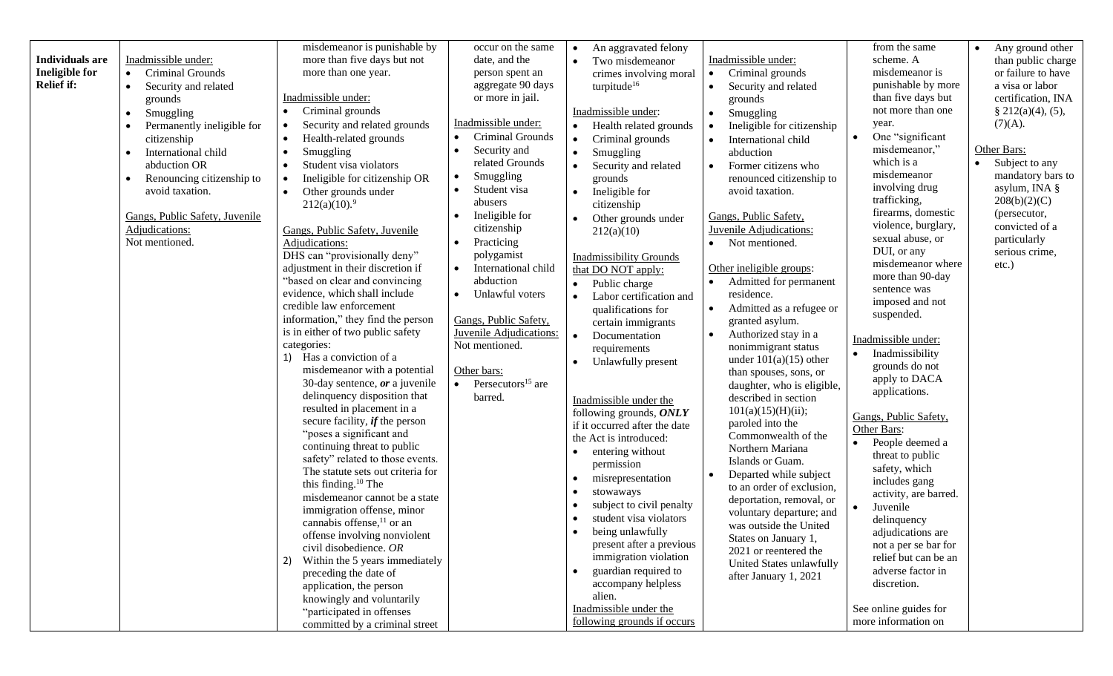|                        |                                        | misdemeanor is punishable by                                  | occur on the same                | An aggravated felony              |                                       | from the same         | Any ground other            |
|------------------------|----------------------------------------|---------------------------------------------------------------|----------------------------------|-----------------------------------|---------------------------------------|-----------------------|-----------------------------|
| <b>Individuals are</b> | Inadmissible under:                    | more than five days but not                                   | date, and the                    | Two misdemeanor<br>$\bullet$      | Inadmissible under:                   | scheme. A             | than public charge          |
| <b>Ineligible for</b>  | Criminal Grounds<br>$\bullet$          | more than one year.                                           | person spent an                  | crimes involving moral            | Criminal grounds<br>$\bullet$         | misdemeanor is        | or failure to have          |
| <b>Relief if:</b>      | Security and related<br>$\bullet$      |                                                               | aggregate 90 days                | turpitude <sup>16</sup>           | Security and related<br>$\bullet$     | punishable by more    | a visa or labor             |
|                        | grounds                                | Inadmissible under:                                           | or more in jail.                 |                                   | grounds                               | than five days but    | certification, INA          |
|                        | Smuggling<br>$\bullet$                 | Criminal grounds                                              |                                  | Inadmissible under:               | Smuggling<br>$\bullet$                | not more than one     | $\S$ 212(a)(4), (5),        |
|                        | Permanently ineligible for             | Security and related grounds<br>$\bullet$                     | Inadmissible under:              | Health related grounds            | Ineligible for citizenship            | year.                 | (7)(A).                     |
|                        | citizenship                            | Health-related grounds<br>$\bullet$                           | Criminal Grounds                 | Criminal grounds                  | International child<br>$\bullet$      | One "significant      |                             |
|                        | International child<br>$\bullet$       | Smuggling<br>$\bullet$                                        | Security and                     | Smuggling<br>$\bullet$            | abduction                             | misdemeanor,"         | Other Bars:                 |
|                        | abduction OR                           | Student visa violators<br>$\bullet$                           | related Grounds                  | Security and related              | Former citizens who<br>$\bullet$      | which is a            | Subject to any<br>$\bullet$ |
|                        | Renouncing citizenship to<br>$\bullet$ | Ineligible for citizenship OR                                 | Smuggling<br>$\bullet$           | grounds                           | renounced citizenship to              | misdemeanor           | mandatory bars to           |
|                        | avoid taxation.                        | Other grounds under<br>$\bullet$                              | Student visa                     | Ineligible for                    | avoid taxation.                       | involving drug        | asylum, INA §               |
|                        |                                        | 212(a)(10).9                                                  | abusers                          | citizenship                       |                                       | trafficking,          | 208(b)(2)(C)                |
|                        | Gangs, Public Safety, Juvenile         |                                                               | Ineligible for                   | Other grounds under               | Gangs, Public Safety,                 | firearms, domestic    | (persecutor,                |
|                        | Adjudications:                         | Gangs, Public Safety, Juvenile                                | citizenship                      | 212(a)(10)                        | <b>Juvenile Adjudications:</b>        | violence, burglary,   | convicted of a              |
|                        | Not mentioned.                         | Adjudications:                                                | Practicing<br>$\bullet$          |                                   | Not mentioned.                        | sexual abuse, or      | particularly                |
|                        |                                        | DHS can "provisionally deny"                                  | polygamist                       | <b>Inadmissibility Grounds</b>    |                                       | DUI, or any           | serious crime,              |
|                        |                                        | adjustment in their discretion if                             | International child<br>$\bullet$ | that DO NOT apply:                | Other ineligible groups:              | misdemeanor where     | $etc.$ )                    |
|                        |                                        | "based on clear and convincing                                | abduction                        | Public charge                     | Admitted for permanent                | more than 90-day      |                             |
|                        |                                        | evidence, which shall include                                 | Unlawful voters                  | Labor certification and           | residence.                            | sentence was          |                             |
|                        |                                        | credible law enforcement                                      |                                  | qualifications for                | Admitted as a refugee or<br>$\bullet$ | imposed and not       |                             |
|                        |                                        | information," they find the person                            | Gangs, Public Safety,            | certain immigrants                | granted asylum.                       | suspended.            |                             |
|                        |                                        | is in either of two public safety                             | Juvenile Adjudications:          | Documentation                     | Authorized stay in a<br>$\bullet$     |                       |                             |
|                        |                                        | categories:                                                   | Not mentioned.                   | requirements                      | nonimmigrant status                   | Inadmissible under:   |                             |
|                        |                                        | 1) Has a conviction of a                                      |                                  | Unlawfully present                | under $101(a)(15)$ other              | Inadmissibility       |                             |
|                        |                                        | misdemeanor with a potential                                  | Other bars:                      |                                   | than spouses, sons, or                | grounds do not        |                             |
|                        |                                        | 30-day sentence, $or$ a juvenile                              | Persecutors <sup>15</sup> are    |                                   | daughter, who is eligible,            | apply to DACA         |                             |
|                        |                                        | delinquency disposition that                                  | barred.                          | Inadmissible under the            | described in section                  | applications.         |                             |
|                        |                                        | resulted in placement in a                                    |                                  | following grounds, ONLY           | 101(a)(15)(H)(ii);                    | Gangs, Public Safety, |                             |
|                        |                                        | secure facility, $\mathbf{i} f$ the person                    |                                  | if it occurred after the date     | paroled into the                      | Other Bars:           |                             |
|                        |                                        | "poses a significant and                                      |                                  | the Act is introduced:            | Commonwealth of the                   | People deemed a       |                             |
|                        |                                        | continuing threat to public                                   |                                  | entering without<br>$\bullet$     | Northern Mariana                      | threat to public      |                             |
|                        |                                        | safety" related to those events.                              |                                  | permission                        | Islands or Guam.                      | safety, which         |                             |
|                        |                                        | The statute sets out criteria for                             |                                  | misrepresentation<br>$\bullet$    | Departed while subject                | includes gang         |                             |
|                        |                                        | this finding. <sup>10</sup> The                               |                                  | stowaways<br>$\bullet$            | to an order of exclusion,             | activity, are barred. |                             |
|                        |                                        | misdemeanor cannot be a state                                 |                                  | subject to civil penalty          | deportation, removal, or              | Juvenile              |                             |
|                        |                                        | immigration offense, minor<br>cannabis offense, $^{11}$ or an |                                  | student visa violators            | voluntary departure; and              | delinquency           |                             |
|                        |                                        | offense involving nonviolent                                  |                                  | being unlawfully                  | was outside the United                | adjudications are     |                             |
|                        |                                        | civil disobedience. OR                                        |                                  | present after a previous          | States on January 1,                  | not a per se bar for  |                             |
|                        |                                        | Within the 5 years immediately<br>2)                          |                                  | immigration violation             | 2021 or reentered the                 | relief but can be an  |                             |
|                        |                                        | preceding the date of                                         |                                  | guardian required to<br>$\bullet$ | United States unlawfully              | adverse factor in     |                             |
|                        |                                        | application, the person                                       |                                  | accompany helpless                | after January 1, 2021                 | discretion.           |                             |
|                        |                                        | knowingly and voluntarily                                     |                                  | alien.                            |                                       |                       |                             |
|                        |                                        | "participated in offenses                                     |                                  | Inadmissible under the            |                                       | See online guides for |                             |
|                        |                                        | committed by a criminal street                                |                                  | following grounds if occurs       |                                       | more information on   |                             |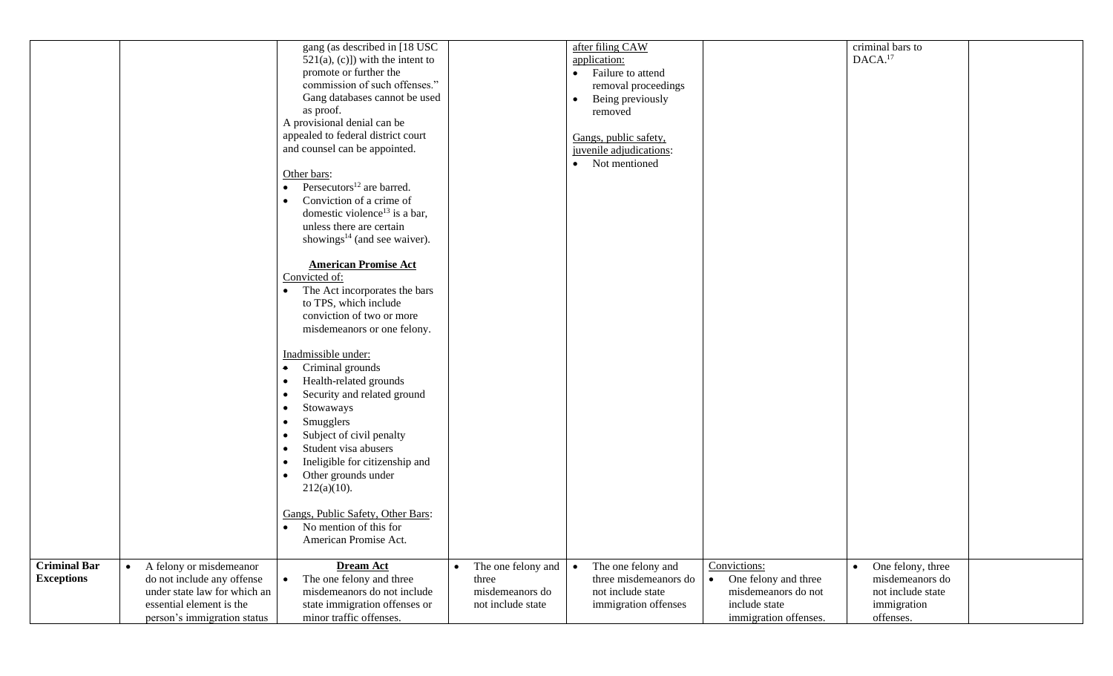|                     |                              | gang (as described in [18 USC]            |                    | after filing CAW                |                       | criminal bars to               |  |
|---------------------|------------------------------|-------------------------------------------|--------------------|---------------------------------|-----------------------|--------------------------------|--|
|                     |                              | $521(a), (c)$ ) with the intent to        |                    | application:                    |                       | DACA. <sup>17</sup>            |  |
|                     |                              | promote or further the                    |                    | • Failure to attend             |                       |                                |  |
|                     |                              | commission of such offenses."             |                    | removal proceedings             |                       |                                |  |
|                     |                              | Gang databases cannot be used             |                    | Being previously<br>$\bullet$   |                       |                                |  |
|                     |                              | as proof.                                 |                    |                                 |                       |                                |  |
|                     |                              |                                           |                    | removed                         |                       |                                |  |
|                     |                              | A provisional denial can be               |                    |                                 |                       |                                |  |
|                     |                              | appealed to federal district court        |                    | Gangs, public safety,           |                       |                                |  |
|                     |                              | and counsel can be appointed.             |                    | juvenile adjudications:         |                       |                                |  |
|                     |                              |                                           |                    | • Not mentioned                 |                       |                                |  |
|                     |                              | Other bars:                               |                    |                                 |                       |                                |  |
|                     |                              | • Persecutors <sup>12</sup> are barred.   |                    |                                 |                       |                                |  |
|                     |                              | Conviction of a crime of                  |                    |                                 |                       |                                |  |
|                     |                              | domestic violence <sup>13</sup> is a bar, |                    |                                 |                       |                                |  |
|                     |                              | unless there are certain                  |                    |                                 |                       |                                |  |
|                     |                              |                                           |                    |                                 |                       |                                |  |
|                     |                              | showings <sup>14</sup> (and see waiver).  |                    |                                 |                       |                                |  |
|                     |                              |                                           |                    |                                 |                       |                                |  |
|                     |                              | <b>American Promise Act</b>               |                    |                                 |                       |                                |  |
|                     |                              | Convicted of:                             |                    |                                 |                       |                                |  |
|                     |                              | The Act incorporates the bars             |                    |                                 |                       |                                |  |
|                     |                              | to TPS, which include                     |                    |                                 |                       |                                |  |
|                     |                              | conviction of two or more                 |                    |                                 |                       |                                |  |
|                     |                              | misdemeanors or one felony.               |                    |                                 |                       |                                |  |
|                     |                              |                                           |                    |                                 |                       |                                |  |
|                     |                              | Inadmissible under:                       |                    |                                 |                       |                                |  |
|                     |                              | Criminal grounds<br>$\bullet$             |                    |                                 |                       |                                |  |
|                     |                              |                                           |                    |                                 |                       |                                |  |
|                     |                              | Health-related grounds                    |                    |                                 |                       |                                |  |
|                     |                              | Security and related ground               |                    |                                 |                       |                                |  |
|                     |                              | Stowaways<br>$\bullet$                    |                    |                                 |                       |                                |  |
|                     |                              | Smugglers                                 |                    |                                 |                       |                                |  |
|                     |                              | Subject of civil penalty                  |                    |                                 |                       |                                |  |
|                     |                              | Student visa abusers                      |                    |                                 |                       |                                |  |
|                     |                              |                                           |                    |                                 |                       |                                |  |
|                     |                              | Ineligible for citizenship and            |                    |                                 |                       |                                |  |
|                     |                              | Other grounds under<br>$\bullet$          |                    |                                 |                       |                                |  |
|                     |                              | $212(a)(10)$ .                            |                    |                                 |                       |                                |  |
|                     |                              |                                           |                    |                                 |                       |                                |  |
|                     |                              | Gangs, Public Safety, Other Bars:         |                    |                                 |                       |                                |  |
|                     |                              | • No mention of this for                  |                    |                                 |                       |                                |  |
|                     |                              | American Promise Act.                     |                    |                                 |                       |                                |  |
|                     |                              |                                           |                    |                                 |                       |                                |  |
| <b>Criminal Bar</b> | A felony or misdemeanor      | <b>Dream Act</b>                          | The one felony and | The one felony and<br>$\bullet$ | Convictions:          | One felony, three<br>$\bullet$ |  |
| <b>Exceptions</b>   | do not include any offense   | The one felony and three                  | three              | three misdemeanors do           | One felony and three  | misdemeanors do                |  |
|                     |                              |                                           |                    |                                 |                       |                                |  |
|                     | under state law for which an | misdemeanors do not include               | misdemeanors do    | not include state               | misdemeanors do not   | not include state              |  |
|                     | essential element is the     | state immigration offenses or             | not include state  | immigration offenses            | include state         | immigration                    |  |
|                     | person's immigration status  | minor traffic offenses.                   |                    |                                 | immigration offenses. | offenses.                      |  |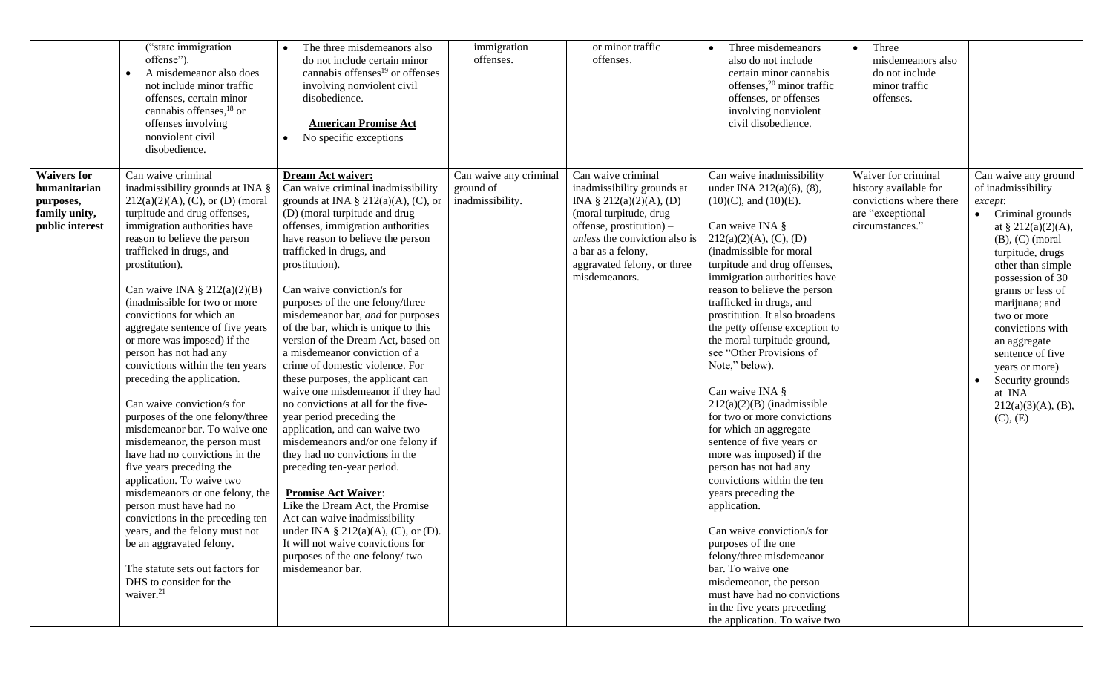|                                                                                     | ("state immigration<br>offense").<br>A misdemeanor also does<br>$\bullet$<br>not include minor traffic<br>offenses, certain minor<br>cannabis offenses, $^{18}$ or<br>offenses involving<br>nonviolent civil<br>disobedience.                                                                                                                                                                                                                                                                                                                                                                                                                                                                                                                                                                                                                                                                                                                                                                    | The three misdemeanors also<br>do not include certain minor<br>cannabis offenses $19$ or offenses<br>involving nonviolent civil<br>disobedience.<br><b>American Promise Act</b><br>No specific exceptions                                                                                                                                                                                                                                                                                                                                                                                                                                                                                                                                                                                                                                                                                                                                                                                                                                      | immigration<br>offenses.                                | or minor traffic<br>offenses.                                                                                                                                                                                                               | Three misdemeanors<br>$\bullet$<br>also do not include<br>certain minor cannabis<br>offenses, <sup>20</sup> minor traffic<br>offenses, or offenses<br>involving nonviolent<br>civil disobedience.                                                                                                                                                                                                                                                                                                                                                                                                                                                                                                                                                                                                                                                                                                                                               | Three<br>misdemeanors also<br>do not include<br>minor traffic<br>offenses.                                     |                                                                                                                                                                                                                                                                                                                                                                                                                  |
|-------------------------------------------------------------------------------------|--------------------------------------------------------------------------------------------------------------------------------------------------------------------------------------------------------------------------------------------------------------------------------------------------------------------------------------------------------------------------------------------------------------------------------------------------------------------------------------------------------------------------------------------------------------------------------------------------------------------------------------------------------------------------------------------------------------------------------------------------------------------------------------------------------------------------------------------------------------------------------------------------------------------------------------------------------------------------------------------------|------------------------------------------------------------------------------------------------------------------------------------------------------------------------------------------------------------------------------------------------------------------------------------------------------------------------------------------------------------------------------------------------------------------------------------------------------------------------------------------------------------------------------------------------------------------------------------------------------------------------------------------------------------------------------------------------------------------------------------------------------------------------------------------------------------------------------------------------------------------------------------------------------------------------------------------------------------------------------------------------------------------------------------------------|---------------------------------------------------------|---------------------------------------------------------------------------------------------------------------------------------------------------------------------------------------------------------------------------------------------|-------------------------------------------------------------------------------------------------------------------------------------------------------------------------------------------------------------------------------------------------------------------------------------------------------------------------------------------------------------------------------------------------------------------------------------------------------------------------------------------------------------------------------------------------------------------------------------------------------------------------------------------------------------------------------------------------------------------------------------------------------------------------------------------------------------------------------------------------------------------------------------------------------------------------------------------------|----------------------------------------------------------------------------------------------------------------|------------------------------------------------------------------------------------------------------------------------------------------------------------------------------------------------------------------------------------------------------------------------------------------------------------------------------------------------------------------------------------------------------------------|
| <b>Waivers for</b><br>humanitarian<br>purposes,<br>family unity,<br>public interest | Can waive criminal<br>inadmissibility grounds at INA §<br>$212(a)(2)(A)$ , (C), or (D) (moral<br>turpitude and drug offenses,<br>immigration authorities have<br>reason to believe the person<br>trafficked in drugs, and<br>prostitution).<br>Can waive INA $\S 212(a)(2)(B)$<br>(inadmissible for two or more<br>convictions for which an<br>aggregate sentence of five years<br>or more was imposed) if the<br>person has not had any<br>convictions within the ten years<br>preceding the application.<br>Can waive conviction/s for<br>purposes of the one felony/three<br>misdemeanor bar. To waive one<br>misdemeanor, the person must<br>have had no convictions in the<br>five years preceding the<br>application. To waive two<br>misdemeanors or one felony, the<br>person must have had no<br>convictions in the preceding ten<br>years, and the felony must not<br>be an aggravated felony.<br>The statute sets out factors for<br>DHS to consider for the<br>waiver. <sup>21</sup> | Dream Act waiver:<br>Can waive criminal inadmissibility<br>grounds at INA $\S$ 212(a)(A), (C), or<br>(D) (moral turpitude and drug<br>offenses, immigration authorities<br>have reason to believe the person<br>trafficked in drugs, and<br>prostitution).<br>Can waive conviction/s for<br>purposes of the one felony/three<br>misdemeanor bar, and for purposes<br>of the bar, which is unique to this<br>version of the Dream Act, based on<br>a misdemeanor conviction of a<br>crime of domestic violence. For<br>these purposes, the applicant can<br>waive one misdemeanor if they had<br>no convictions at all for the five-<br>year period preceding the<br>application, and can waive two<br>misdemeanors and/or one felony if<br>they had no convictions in the<br>preceding ten-year period.<br><b>Promise Act Waiver:</b><br>Like the Dream Act, the Promise<br>Act can waive inadmissibility<br>under INA $\S$ 212(a)(A), (C), or (D).<br>It will not waive convictions for<br>purposes of the one felony/two<br>misdemeanor bar. | Can waive any criminal<br>ground of<br>inadmissibility. | Can waive criminal<br>inadmissibility grounds at<br>INA $\S$ 212(a)(2)(A), (D)<br>(moral turpitude, drug<br>offense, prostitution) -<br>unless the conviction also is<br>a bar as a felony,<br>aggravated felony, or three<br>misdemeanors. | Can waive inadmissibility<br>under INA 212(a)(6), (8),<br>$(10)(C)$ , and $(10)(E)$ .<br>Can waive INA §<br>212(a)(2)(A), (C), (D)<br>(inadmissible for moral<br>turpitude and drug offenses,<br>immigration authorities have<br>reason to believe the person<br>trafficked in drugs, and<br>prostitution. It also broadens<br>the petty offense exception to<br>the moral turpitude ground,<br>see "Other Provisions of<br>Note," below).<br>Can waive INA §<br>$212(a)(2)(B)$ (inadmissible<br>for two or more convictions<br>for which an aggregate<br>sentence of five years or<br>more was imposed) if the<br>person has not had any<br>convictions within the ten<br>years preceding the<br>application.<br>Can waive conviction/s for<br>purposes of the one<br>felony/three misdemeanor<br>bar. To waive one<br>misdemeanor, the person<br>must have had no convictions<br>in the five years preceding<br>the application. To waive two | Waiver for criminal<br>history available for<br>convictions where there<br>are "exceptional<br>circumstances." | Can waive any ground<br>of inadmissibility<br>except:<br>Criminal grounds<br>$\bullet$<br>at § $212(a)(2)(A)$ ,<br>$(B)$ , $(C)$ (moral<br>turpitude, drugs<br>other than simple<br>possession of 30<br>grams or less of<br>marijuana; and<br>two or more<br>convictions with<br>an aggregate<br>sentence of five<br>years or more)<br>Security grounds<br>$\bullet$<br>at INA<br>212(a)(3)(A), (B),<br>(C), (E) |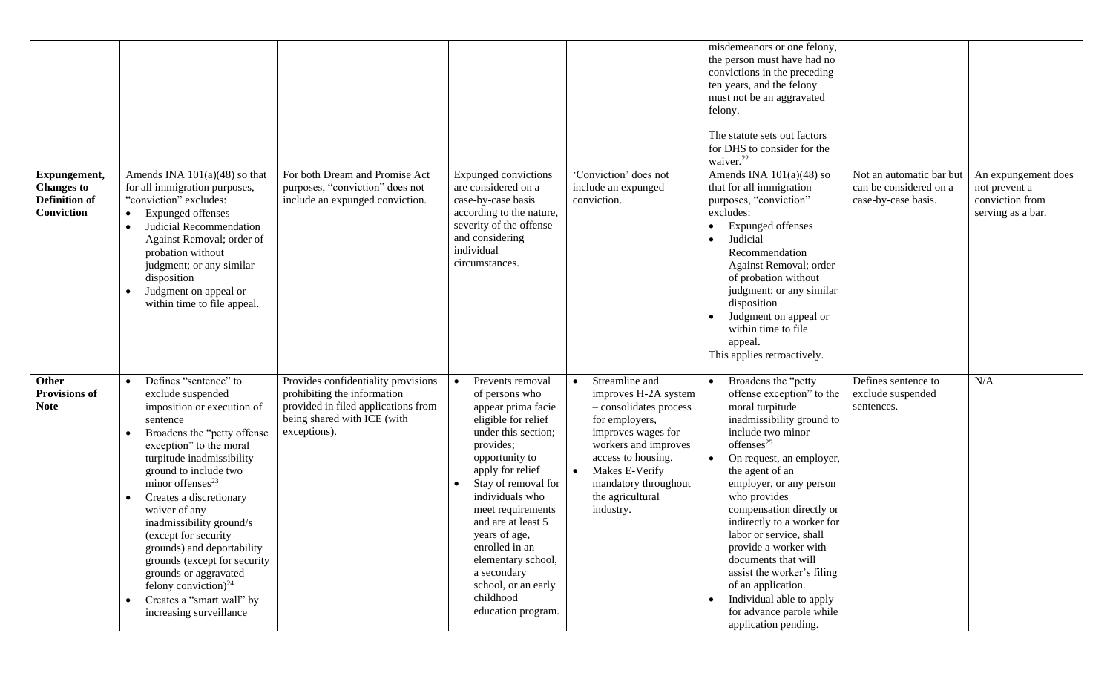| Expungement,<br><b>Changes to</b><br><b>Definition of</b><br>Conviction | Amends INA $101(a)(48)$ so that<br>for all immigration purposes,<br>"conviction" excludes:<br><b>Expunged offenses</b><br>$\bullet$<br>Judicial Recommendation<br>Against Removal; order of<br>probation without<br>judgment; or any similar<br>disposition<br>Judgment on appeal or<br>within time to file appeal.                                                                                                                                                                                               | For both Dream and Promise Act<br>purposes, "conviction" does not<br>include an expunged conviction.                                                     | <b>Expunged convictions</b><br>are considered on a<br>case-by-case basis<br>according to the nature,<br>severity of the offense<br>and considering<br>individual<br>circumstances.                                                                                                                                                                                                            | 'Conviction' does not<br>include an expunged<br>conviction.                                                                                                                                                                                    | misdemeanors or one felony,<br>the person must have had no<br>convictions in the preceding<br>ten years, and the felony<br>must not be an aggravated<br>felony.<br>The statute sets out factors<br>for DHS to consider for the<br>waiver. <sup>22</sup><br>Amends INA $101(a)(48)$ so<br>that for all immigration<br>purposes, "conviction"<br>excludes:<br><b>Expunged offenses</b><br>Judicial<br>$\bullet$<br>Recommendation<br>Against Removal; order<br>of probation without<br>judgment; or any similar<br>disposition<br>Judgment on appeal or<br>within time to file<br>appeal.<br>This applies retroactively. | Not an automatic bar but<br>can be considered on a<br>case-by-case basis. | An expungement does<br>not prevent a<br>conviction from<br>serving as a bar. |
|-------------------------------------------------------------------------|-------------------------------------------------------------------------------------------------------------------------------------------------------------------------------------------------------------------------------------------------------------------------------------------------------------------------------------------------------------------------------------------------------------------------------------------------------------------------------------------------------------------|----------------------------------------------------------------------------------------------------------------------------------------------------------|-----------------------------------------------------------------------------------------------------------------------------------------------------------------------------------------------------------------------------------------------------------------------------------------------------------------------------------------------------------------------------------------------|------------------------------------------------------------------------------------------------------------------------------------------------------------------------------------------------------------------------------------------------|------------------------------------------------------------------------------------------------------------------------------------------------------------------------------------------------------------------------------------------------------------------------------------------------------------------------------------------------------------------------------------------------------------------------------------------------------------------------------------------------------------------------------------------------------------------------------------------------------------------------|---------------------------------------------------------------------------|------------------------------------------------------------------------------|
| Other<br><b>Provisions of</b><br><b>Note</b>                            | Defines "sentence" to<br>exclude suspended<br>imposition or execution of<br>sentence<br>Broadens the "petty offense<br>exception" to the moral<br>turpitude inadmissibility<br>ground to include two<br>minor offenses <sup>23</sup><br>Creates a discretionary<br>waiver of any<br>inadmissibility ground/s<br>(except for security<br>grounds) and deportability<br>grounds (except for security<br>grounds or aggravated<br>felony conviction) $^{24}$<br>Creates a "smart wall" by<br>increasing surveillance | Provides confidentiality provisions<br>prohibiting the information<br>provided in filed applications from<br>being shared with ICE (with<br>exceptions). | Prevents removal<br>$\bullet$<br>of persons who<br>appear prima facie<br>eligible for relief<br>under this section;<br>provides;<br>opportunity to<br>apply for relief<br>Stay of removal for<br>individuals who<br>meet requirements<br>and are at least 5<br>years of age,<br>enrolled in an<br>elementary school,<br>a secondary<br>school, or an early<br>childhood<br>education program. | Streamline and<br>improves H-2A system<br>- consolidates process<br>for employers,<br>improves wages for<br>workers and improves<br>access to housing.<br>Makes E-Verify<br>$\bullet$<br>mandatory throughout<br>the agricultural<br>industry. | Broadens the "petty<br>$\bullet$<br>offense exception" to the<br>moral turpitude<br>inadmissibility ground to<br>include two minor<br>offenses <sup>25</sup><br>On request, an employer,<br>the agent of an<br>employer, or any person<br>who provides<br>compensation directly or<br>indirectly to a worker for<br>labor or service, shall<br>provide a worker with<br>documents that will<br>assist the worker's filing<br>of an application.<br>Individual able to apply<br>$\bullet$<br>for advance parole while<br>application pending.                                                                           | Defines sentence to<br>exclude suspended<br>sentences.                    | N/A                                                                          |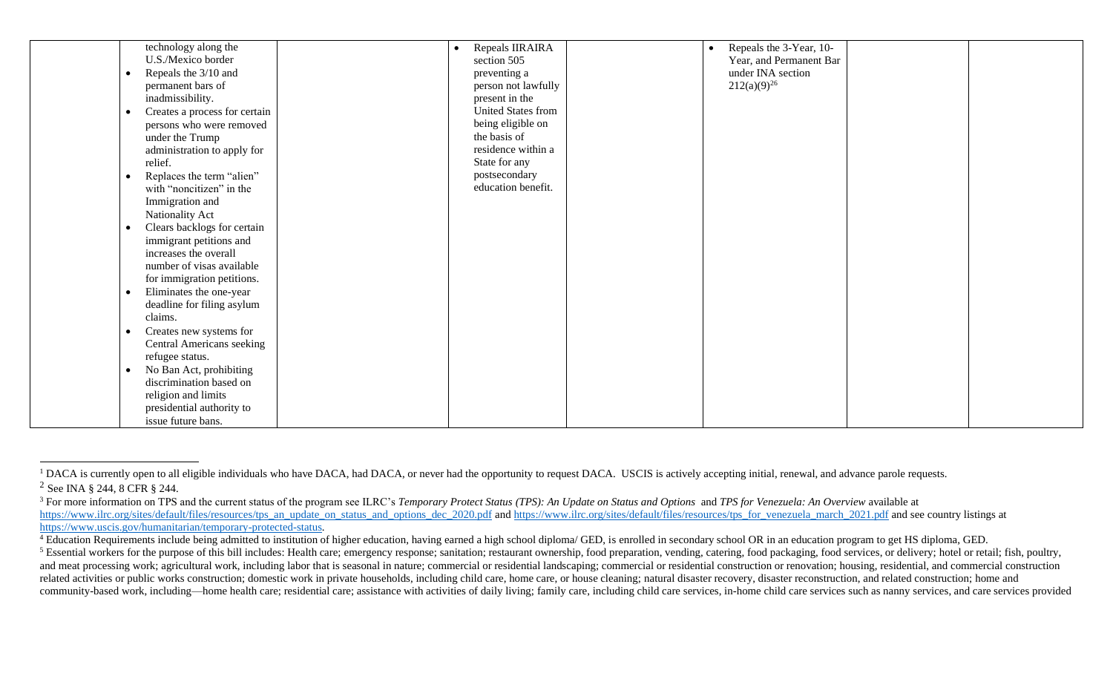| technology along the                 |  | Repeals IIRAIRA     | $\bullet$ | Repeals the 3-Year, 10- |  |
|--------------------------------------|--|---------------------|-----------|-------------------------|--|
| U.S./Mexico border                   |  | section 505         |           | Year, and Permanent Bar |  |
| Repeals the 3/10 and                 |  | preventing a        |           | under INA section       |  |
| permanent bars of                    |  | person not lawfully |           | $212(a)(9)^{26}$        |  |
| inadmissibility.                     |  | present in the      |           |                         |  |
| Creates a process for certain        |  | United States from  |           |                         |  |
| persons who were removed             |  | being eligible on   |           |                         |  |
| under the Trump                      |  | the basis of        |           |                         |  |
| administration to apply for          |  | residence within a  |           |                         |  |
| relief.                              |  | State for any       |           |                         |  |
| Replaces the term "alien"            |  | postsecondary       |           |                         |  |
| with "noncitizen" in the             |  | education benefit.  |           |                         |  |
| Immigration and                      |  |                     |           |                         |  |
| Nationality Act                      |  |                     |           |                         |  |
| Clears backlogs for certain          |  |                     |           |                         |  |
| immigrant petitions and              |  |                     |           |                         |  |
| increases the overall                |  |                     |           |                         |  |
| number of visas available            |  |                     |           |                         |  |
| for immigration petitions.           |  |                     |           |                         |  |
| Eliminates the one-year<br>$\bullet$ |  |                     |           |                         |  |
| deadline for filing asylum           |  |                     |           |                         |  |
| claims.                              |  |                     |           |                         |  |
| Creates new systems for              |  |                     |           |                         |  |
| Central Americans seeking            |  |                     |           |                         |  |
| refugee status.                      |  |                     |           |                         |  |
| No Ban Act, prohibiting<br>$\bullet$ |  |                     |           |                         |  |
| discrimination based on              |  |                     |           |                         |  |
| religion and limits                  |  |                     |           |                         |  |
| presidential authority to            |  |                     |           |                         |  |
| issue future bans.                   |  |                     |           |                         |  |
|                                      |  |                     |           |                         |  |

<sup>&</sup>lt;sup>1</sup> DACA is currently open to all eligible individuals who have DACA, had DACA, or never had the opportunity to request DACA. USCIS is actively accepting initial, renewal, and advance parole requests. <sup>2</sup> See INA § 244, 8 CFR § 244.

<sup>&</sup>lt;sup>3</sup> For more information on TPS and the current status of the program see ILRC's *Temporary Protect Status (TPS): An Update on Status and Options and TPS for Venezuela: An Overview available at* [https://www.ilrc.org/sites/default/files/resources/tps\\_an\\_update\\_on\\_status\\_and\\_options\\_dec\\_2020.pdf](https://www.ilrc.org/sites/default/files/resources/tps_an_update_on_status_and_options_dec_2020.pdf) and [https://www.ilrc.org/sites/default/files/resources/tps\\_for\\_venezuela\\_march\\_2021.pdf](https://www.ilrc.org/sites/default/files/resources/tps_for_venezuela_march_2021.pdf) and see country listings at [https://www.uscis.gov/humanitarian/temporary-protected-status.](https://www.uscis.gov/humanitarian/temporary-protected-status)

<sup>&</sup>lt;sup>4</sup> Education Requirements include being admitted to institution of higher education, having earned a high school diploma/ GED, is enrolled in secondary school OR in an education program to get HS diploma, GED.

<sup>&</sup>lt;sup>5</sup> Essential workers for the purpose of this bill includes: Health care; emergency response; sanitation; restaurant ownership, food preparation, vending, catering, food packaging, food services, or delivery; hotel or reta and meat processing work; agricultural work, including labor that is seasonal in nature; commercial or residential landscaping; commercial or residential construction or renovation; housing, residential, and commercial con related activities or public works construction; domestic work in private households, including child care, home care, or house cleaning; natural disaster recovery, disaster reconstruction, and related construction; home and community-based work, including—home health care; residential care; assistance with activities of daily living; family care, including child care services, in-home child care services such as nanny services, and care servi